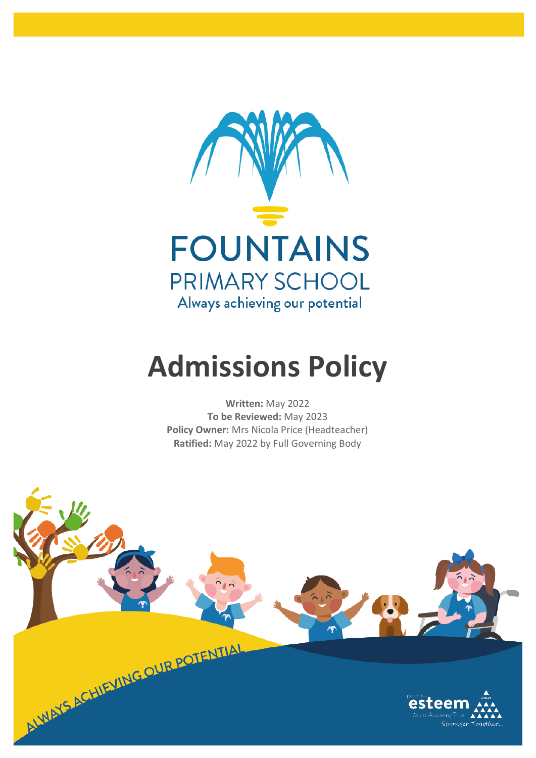

# **Admissions Policy**

**Written:** May 2022 **To be Reviewed:** May 2023 **Policy Owner:** Mrs Nicola Price (Headteacher) **Ratified:** May 2022 by Full Governing Body

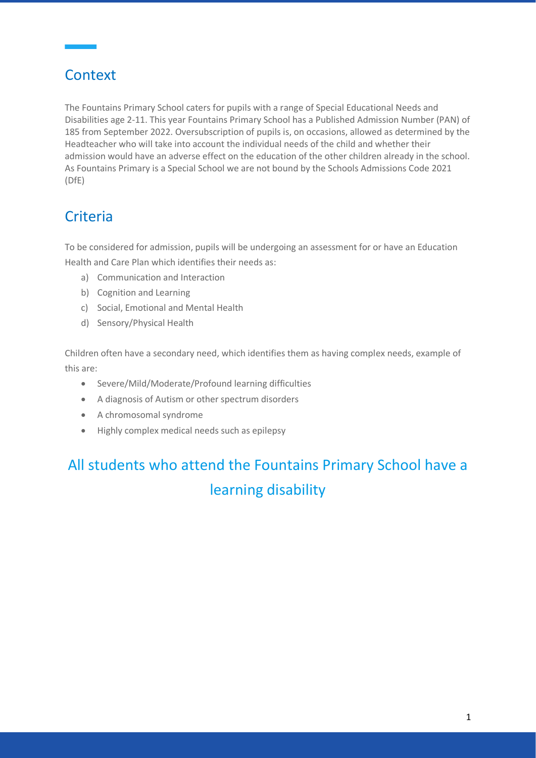### **Context**

The Fountains Primary School caters for pupils with a range of Special Educational Needs and Disabilities age 2-11. This year Fountains Primary School has a Published Admission Number (PAN) of 185 from September 2022. Oversubscription of pupils is, on occasions, allowed as determined by the Headteacher who will take into account the individual needs of the child and whether their admission would have an adverse effect on the education of the other children already in the school. As Fountains Primary is a Special School we are not bound by the Schools Admissions Code 2021 (DfE)

## **Criteria**

To be considered for admission, pupils will be undergoing an assessment for or have an Education Health and Care Plan which identifies their needs as:

- a) Communication and Interaction
- b) Cognition and Learning
- c) Social, Emotional and Mental Health
- d) Sensory/Physical Health

Children often have a secondary need, which identifies them as having complex needs, example of this are:

- Severe/Mild/Moderate/Profound learning difficulties
- A diagnosis of Autism or other spectrum disorders
- A chromosomal syndrome
- Highly complex medical needs such as epilepsy

# All students who attend the Fountains Primary School have a learning disability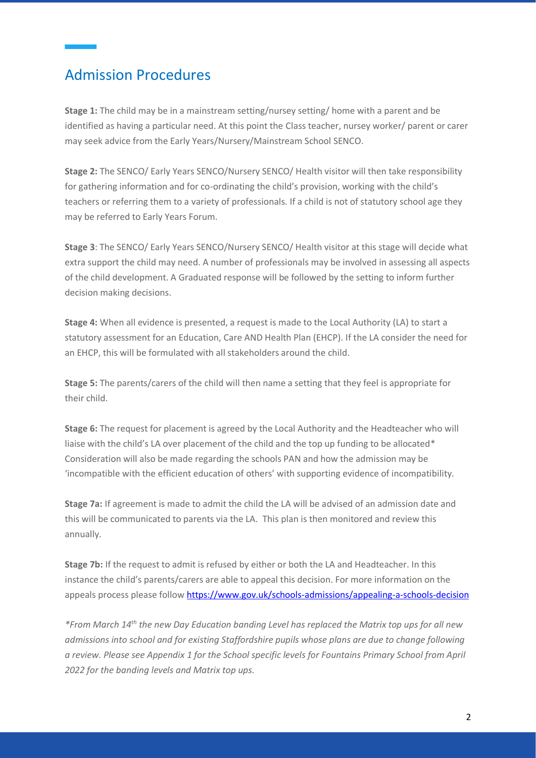#### Admission Procedures

**Stage 1:** The child may be in a mainstream setting/nursey setting/ home with a parent and be identified as having a particular need. At this point the Class teacher, nursey worker/ parent or carer may seek advice from the Early Years/Nursery/Mainstream School SENCO.

**Stage 2:** The SENCO/ Early Years SENCO/Nursery SENCO/ Health visitor will then take responsibility for gathering information and for co-ordinating the child's provision, working with the child's teachers or referring them to a variety of professionals. If a child is not of statutory school age they may be referred to Early Years Forum.

**Stage 3**: The SENCO/ Early Years SENCO/Nursery SENCO/ Health visitor at this stage will decide what extra support the child may need. A number of professionals may be involved in assessing all aspects of the child development. A Graduated response will be followed by the setting to inform further decision making decisions.

**Stage 4:** When all evidence is presented, a request is made to the Local Authority (LA) to start a statutory assessment for an Education, Care AND Health Plan (EHCP). If the LA consider the need for an EHCP, this will be formulated with all stakeholders around the child.

**Stage 5:** The parents/carers of the child will then name a setting that they feel is appropriate for their child.

**Stage 6:** The request for placement is agreed by the Local Authority and the Headteacher who will liaise with the child's LA over placement of the child and the top up funding to be allocated\* Consideration will also be made regarding the schools PAN and how the admission may be 'incompatible with the efficient education of others' with supporting evidence of incompatibility.

**Stage 7a:** If agreement is made to admit the child the LA will be advised of an admission date and this will be communicated to parents via the LA. This plan is then monitored and review this annually.

**Stage 7b:** If the request to admit is refused by either or both the LA and Headteacher. In this instance the child's parents/carers are able to appeal this decision. For more information on the appeals process please follow<https://www.gov.uk/schools-admissions/appealing-a-schools-decision>

*\*From March 14th the new Day Education banding Level has replaced the Matrix top ups for all new admissions into school and for existing Staffordshire pupils whose plans are due to change following a review. Please see Appendix 1 for the School specific levels for Fountains Primary School from April 2022 for the banding levels and Matrix top ups.*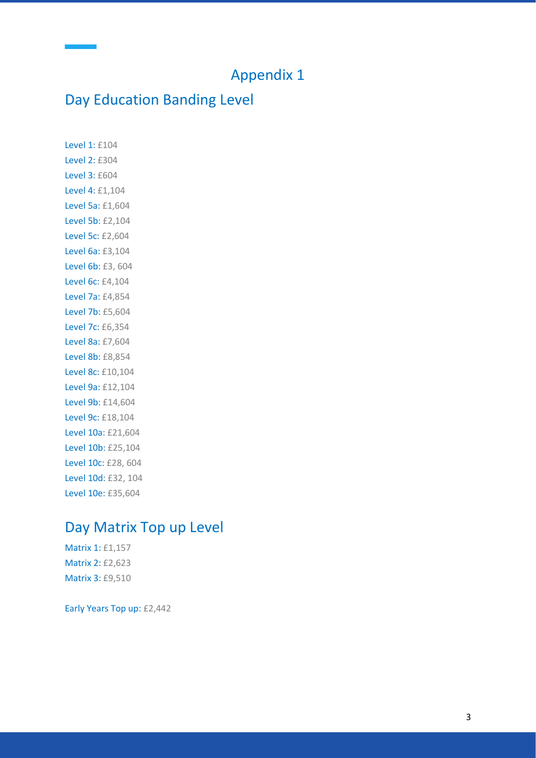#### Appendix 1

#### Day Education Banding Level

Level 1: £104 Level 2: £304 Level 3: £604 Level 4: £1,104 Level 5a: £1,604 Level 5b: £2,104 Level 5c: £2,604 Level 6a: £3,104 Level 6b: £3, 604 Level 6c: £4,104 Level 7a: £4,854 Level 7b: £5,604 Level 7c: £6,354 Level 8a: £7,604 Level 8b: £8,854 Level 8c: £10,104 Level 9a: £12,104 Level 9b: £14,604 Level 9c: £18,104 Level 10a: £21,604 Level 10b: £25,104 Level 10c: £28, 604 Level 10d: £32, 104 Level 10e: £35,604

#### Day Matrix Top up Level

Matrix 1: £1,157 Matrix 2: £2,623 Matrix 3: £9,510

Early Years Top up: £2,442